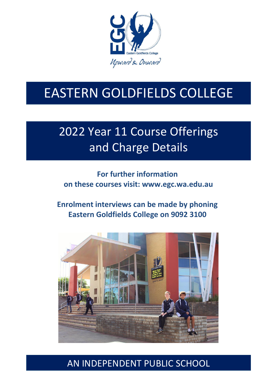

# EASTERN GOLDFIELDS COLLEGE

# 2022 Year 11 Course Offerings and Charge Details

### **For further information on these courses visit: [www.egc.wa.edu.au](http://www.egc.wa.edu.au/)**

#### **Enrolment interviews can be made by phoning Eastern Goldfields College on 9092 3100**



### AN INDEPENDENT PUBLIC SCHOOL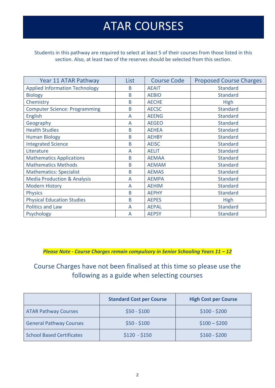## ATAR COURSES

Students in this pathway are required to select at least 5 of their courses from those listed in this section. Also, at least two of the reserves should be selected from this section.

| Year 11 ATAR Pathway                   | List | <b>Course Code</b> | <b>Proposed Course Charges</b> |
|----------------------------------------|------|--------------------|--------------------------------|
| <b>Applied Information Technology</b>  | B    | <b>AEAIT</b>       | <b>Standard</b>                |
| <b>Biology</b>                         | B    | <b>AEBIO</b>       | <b>Standard</b>                |
| Chemistry                              | B    | <b>AECHE</b>       | High                           |
| <b>Computer Science: Programming</b>   | B    | <b>AECSC</b>       | <b>Standard</b>                |
| <b>English</b>                         | A    | <b>AEENG</b>       | <b>Standard</b>                |
| Geography                              | A    | <b>AEGEO</b>       | <b>Standard</b>                |
| <b>Health Studies</b>                  | B    | <b>AEHEA</b>       | <b>Standard</b>                |
| <b>Human Biology</b>                   | B    | <b>AEHBY</b>       | <b>Standard</b>                |
| <b>Integrated Science</b>              | B    | <b>AEISC</b>       | <b>Standard</b>                |
| Literature                             | A    | <b>AELIT</b>       | <b>Standard</b>                |
| <b>Mathematics Applications</b>        | B    | <b>AEMAA</b>       | Standard                       |
| <b>Mathematics Methods</b>             | B    | <b>AEMAM</b>       | <b>Standard</b>                |
| <b>Mathematics: Specialist</b>         | B    | <b>AEMAS</b>       | <b>Standard</b>                |
| <b>Media Production &amp; Analysis</b> | A    | <b>AEMPA</b>       | <b>Standard</b>                |
| <b>Modern History</b>                  | A    | <b>AEHIM</b>       | <b>Standard</b>                |
| <b>Physics</b>                         | B    | <b>AEPHY</b>       | <b>Standard</b>                |
| <b>Physical Education Studies</b>      | B    | <b>AEPES</b>       | <b>High</b>                    |
| <b>Politics and Law</b>                | A    | <b>AEPAL</b>       | Standard                       |
| Psychology                             | A    | <b>AEPSY</b>       | <b>Standard</b>                |

**Please Note - Course Charges remain compulsory in Senior Schooling Years 11 - 12** 

#### Course Charges have not been finalised at this time so please use the following as a guide when selecting courses

|                                  | <b>Standard Cost per Course</b> | <b>High Cost per Course</b> |
|----------------------------------|---------------------------------|-----------------------------|
| <b>ATAR Pathway Courses</b>      | $$50 - $100$                    | $$100 - $200$               |
| <b>General Pathway Courses</b>   | $$50 - $100$                    | $$100 - $200$               |
| <b>School Based Certificates</b> | $$120 - $150$                   | $$160 - $200$               |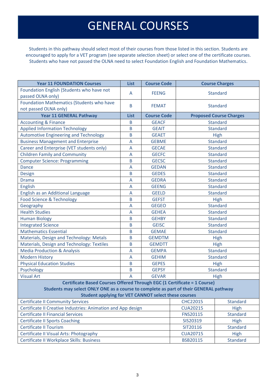## GENERAL COURSES

Students in this pathway should select most of their courses from those listed in this section. Students are encouraged to apply for a VET program (see separate selection sheet) or select one of the certificate courses. Students who have not passed the OLNA need to select Foundation English and Foundation Mathematics.

| <b>Year 11 FOUNDATION Courses</b>                                                     | <b>List</b> | <b>Course Code</b> |                 | <b>Course Charges</b>          |  |  |
|---------------------------------------------------------------------------------------|-------------|--------------------|-----------------|--------------------------------|--|--|
| Foundation English (Students who have not<br>passed OLNA only)                        | A           | <b>FEENG</b>       | <b>Standard</b> |                                |  |  |
| Foundation Mathematics (Students who have<br>not passed OLNA only)                    | B           | <b>FEMAT</b>       | <b>Standard</b> |                                |  |  |
| <b>Year 11 GENERAL Pathway</b>                                                        | <b>List</b> | <b>Course Code</b> |                 | <b>Proposed Course Charges</b> |  |  |
| <b>Accounting &amp; Finance</b>                                                       | B           | <b>GEACF</b>       |                 | <b>Standard</b>                |  |  |
| <b>Applied Information Technology</b>                                                 | B           | <b>GEAIT</b>       | <b>Standard</b> |                                |  |  |
| <b>Automotive Engineering and Technology</b>                                          | B           | <b>GEAET</b>       | <b>High</b>     |                                |  |  |
| <b>Business Management and Enterprise</b>                                             | A           | <b>GEBME</b>       | <b>Standard</b> |                                |  |  |
| Career and Enterprise (VET students only)                                             | A           | <b>GECAE</b>       | <b>Standard</b> |                                |  |  |
| <b>Children Family and Community</b>                                                  | A           | <b>GECFC</b>       | <b>Standard</b> |                                |  |  |
| <b>Computer Science: Programming</b>                                                  | B           | <b>GECSC</b>       | <b>Standard</b> |                                |  |  |
| <b>Dance</b>                                                                          | A           | <b>GEDAN</b>       | <b>Standard</b> |                                |  |  |
| <b>Design</b>                                                                         | B           | <b>GEDES</b>       | <b>Standard</b> |                                |  |  |
| <b>Drama</b>                                                                          | A           | <b>GEDRA</b>       | <b>Standard</b> |                                |  |  |
| <b>English</b>                                                                        | A           | <b>GEENG</b>       | <b>Standard</b> |                                |  |  |
| English as an Additional Language                                                     | A           | <b>GEELD</b>       | <b>Standard</b> |                                |  |  |
| <b>Food Science &amp; Technology</b>                                                  | B           | <b>GEFST</b>       | High            |                                |  |  |
| Geography                                                                             | A           | <b>GEGEO</b>       | <b>Standard</b> |                                |  |  |
| <b>Health Studies</b>                                                                 | A           | <b>GEHEA</b>       | <b>Standard</b> |                                |  |  |
| <b>Human Biology</b>                                                                  | B           | <b>GEHBY</b>       | <b>Standard</b> |                                |  |  |
| <b>Integrated Science</b>                                                             | B           | <b>GEISC</b>       | <b>Standard</b> |                                |  |  |
| <b>Mathematics Essential</b>                                                          | B           | <b>GEMAE</b>       | <b>Standard</b> |                                |  |  |
| Materials, Design and Technology: Metals                                              | B           | <b>GEMDTM</b>      | High            |                                |  |  |
| Materials, Design and Technology: Textiles                                            | B           | <b>GEMDTT</b>      | High            |                                |  |  |
| <b>Media Production &amp; Analysis</b>                                                | A           | <b>GEMPA</b>       | <b>Standard</b> |                                |  |  |
| <b>Modern History</b>                                                                 | A           | <b>GEHIM</b>       | <b>Standard</b> |                                |  |  |
| <b>Physical Education Studies</b>                                                     | B           | <b>GEPES</b>       | <b>High</b>     |                                |  |  |
| Psychology                                                                            | B           | <b>GEPSY</b>       | <b>Standard</b> |                                |  |  |
| <b>Visual Art</b>                                                                     | A           | <b>GEVAR</b>       |                 | <b>High</b>                    |  |  |
| Certificate Based Courses Offered Through EGC (1 Certificate = 1 Course)              |             |                    |                 |                                |  |  |
| Students may select ONLY ONE as a course to complete as part of their GENERAL pathway |             |                    |                 |                                |  |  |
| <b>Student applying for VET CANNOT select these courses</b>                           |             |                    |                 |                                |  |  |
| <b>Certificate II Community Services</b>                                              |             |                    | <b>CHC22015</b> | <b>Standard</b>                |  |  |
| Certificate II Creative Industries: Animation and App design                          |             |                    | <b>CUA20215</b> | <b>High</b>                    |  |  |
| <b>Certificate II Financial Services</b>                                              |             |                    | <b>FNS20115</b> | <b>Standard</b>                |  |  |
| <b>Certificate II Sports Coaching</b>                                                 |             |                    | SIS20319        | <b>High</b>                    |  |  |
| <b>Certificate II Tourism</b>                                                         |             |                    | SIT20116        | <b>Standard</b>                |  |  |
| Certificate II Visual Arts: Photography                                               |             |                    | <b>CUA20715</b> | <b>High</b>                    |  |  |
| Certificate II Workplace Skills: Business                                             |             |                    | <b>BSB20115</b> | <b>Standard</b>                |  |  |